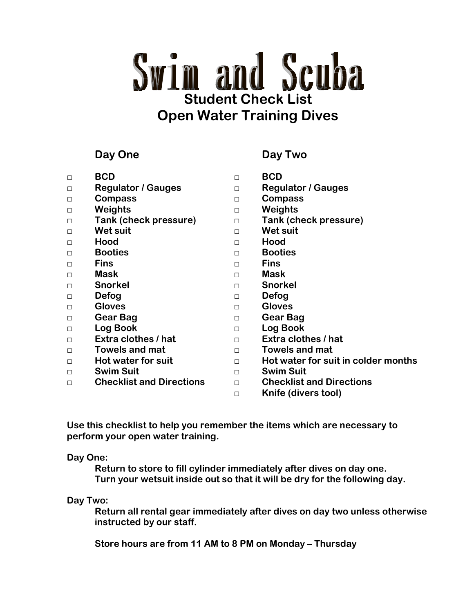# **Swim and Scuba Student Check List Open Water Training Dives**

# **Day One Day Two**

| $\Box$ | <b>BCD</b>                      | П      | <b>BCD</b>                          |
|--------|---------------------------------|--------|-------------------------------------|
| $\Box$ | <b>Regulator / Gauges</b>       | $\Box$ | <b>Regulator / Gauges</b>           |
| $\Box$ | <b>Compass</b>                  | $\Box$ | <b>Compass</b>                      |
| $\Box$ | Weights                         | $\Box$ | Weights                             |
| $\Box$ | <b>Tank (check pressure)</b>    | $\Box$ | <b>Tank (check pressure)</b>        |
| $\Box$ | <b>Wet suit</b>                 | $\Box$ | <b>Wet suit</b>                     |
| $\Box$ | Hood                            | $\Box$ | Hood                                |
| $\Box$ | <b>Booties</b>                  | $\Box$ | <b>Booties</b>                      |
| $\Box$ | <b>Fins</b>                     | $\Box$ | <b>Fins</b>                         |
| $\Box$ | <b>Mask</b>                     | $\Box$ | <b>Mask</b>                         |
| $\Box$ | <b>Snorkel</b>                  | $\Box$ | <b>Snorkel</b>                      |
| $\Box$ | Defog                           | $\Box$ | Defog                               |
| $\Box$ | <b>Gloves</b>                   | $\Box$ | <b>Gloves</b>                       |
| $\Box$ | Gear Bag                        | П      | Gear Bag                            |
| $\Box$ | Log Book                        | $\Box$ | <b>Log Book</b>                     |
| $\Box$ | Extra clothes / hat             | $\Box$ | Extra clothes / hat                 |
| $\Box$ | <b>Towels and mat</b>           | $\Box$ | <b>Towels and mat</b>               |
| $\Box$ | Hot water for suit              | $\Box$ | Hot water for suit in colder months |
| $\Box$ | <b>Swim Suit</b>                | $\Box$ | <b>Swim Suit</b>                    |
| П      | <b>Checklist and Directions</b> | $\Box$ | <b>Checklist and Directions</b>     |
|        |                                 | П      | Knife (divers tool)                 |

**Use this checklist to help you remember the items which are necessary to perform your open water training.** 

## **Day One:**

**Return to store to fill cylinder immediately after dives on day one. Turn your wetsuit inside out so that it will be dry for the following day.** 

## **Day Two:**

 **Return all rental gear immediately after dives on day two unless otherwise instructed by our staff.** 

 **Store hours are from 11 AM to 8 PM on Monday – Thursday**